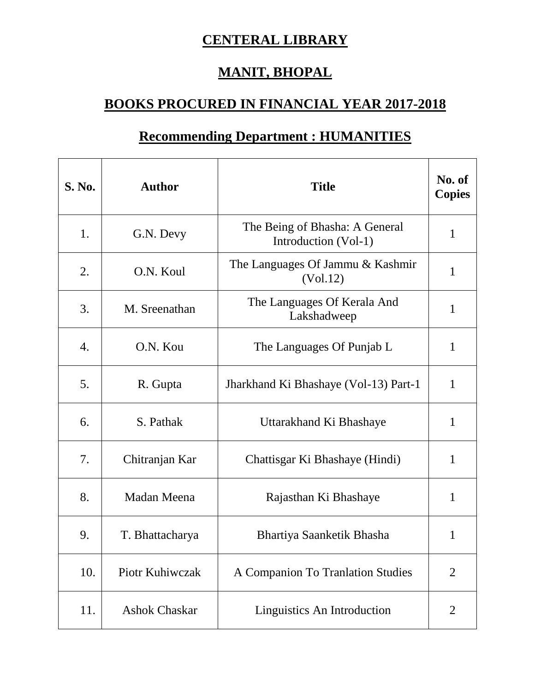## **CENTERAL LIBRARY**

## **MANIT, BHOPAL**

## **BOOKS PROCURED IN FINANCIAL YEAR 2017-2018**

## **Recommending Department : HUMANITIES**

| S. No.           | <b>Author</b>        | <b>Title</b>                                           | No. of<br><b>Copies</b> |
|------------------|----------------------|--------------------------------------------------------|-------------------------|
| 1.               | G.N. Devy            | The Being of Bhasha: A General<br>Introduction (Vol-1) | $\mathbf{1}$            |
| 2.               | O.N. Koul            | The Languages Of Jammu & Kashmir<br>(Vol.12)           | 1                       |
| 3.               | M. Sreenathan        | The Languages Of Kerala And<br>Lakshadweep             | 1                       |
| $\overline{4}$ . | O.N. Kou             | The Languages Of Punjab L                              | 1                       |
| 5.               | R. Gupta             | Jharkhand Ki Bhashaye (Vol-13) Part-1                  | 1                       |
| 6.               | S. Pathak            | Uttarakhand Ki Bhashaye                                | 1                       |
| 7.               | Chitranjan Kar       | Chattisgar Ki Bhashaye (Hindi)                         | $\mathbf{1}$            |
| 8.               | Madan Meena          | Rajasthan Ki Bhashaye                                  | 1                       |
| 9.               | T. Bhattacharya      | Bhartiya Saanketik Bhasha                              | 1                       |
| 10.              | Piotr Kuhiwczak      | A Companion To Tranlation Studies                      | $\overline{2}$          |
| 11.              | <b>Ashok Chaskar</b> | Linguistics An Introduction                            | $\overline{2}$          |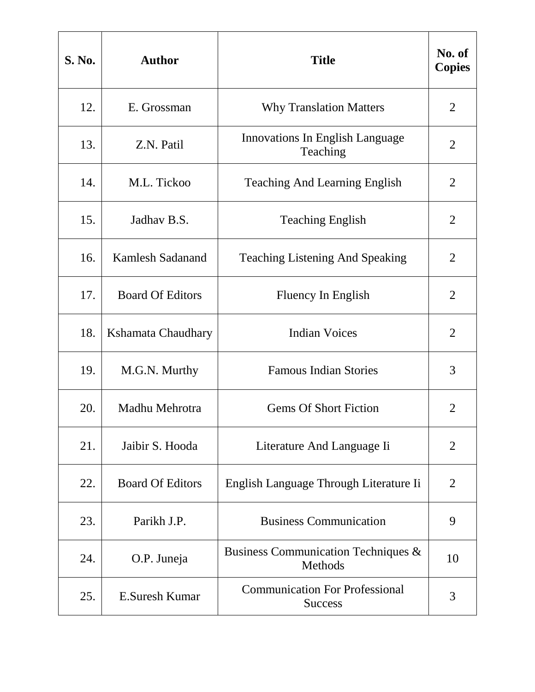| <b>S. No.</b> | <b>Author</b>           | <b>Title</b>                                            | No. of<br><b>Copies</b> |
|---------------|-------------------------|---------------------------------------------------------|-------------------------|
| 12.           | E. Grossman             | <b>Why Translation Matters</b>                          | $\overline{2}$          |
| 13.           | Z.N. Patil              | <b>Innovations In English Language</b><br>Teaching      | $\overline{2}$          |
| 14.           | M.L. Tickoo             | <b>Teaching And Learning English</b>                    | $\overline{2}$          |
| 15.           | Jadhav B.S.             | <b>Teaching English</b>                                 | $\overline{2}$          |
| 16.           | <b>Kamlesh Sadanand</b> | <b>Teaching Listening And Speaking</b>                  | $\overline{2}$          |
| 17.           | <b>Board Of Editors</b> | Fluency In English                                      | $\overline{2}$          |
| 18.           | Kshamata Chaudhary      | <b>Indian Voices</b>                                    | $\overline{2}$          |
| 19.           | M.G.N. Murthy           | <b>Famous Indian Stories</b>                            | 3                       |
| 20.           | Madhu Mehrotra          | <b>Gems Of Short Fiction</b>                            | $\overline{2}$          |
| 21.           | Jaibir S. Hooda         | Literature And Language Ii                              | $\overline{2}$          |
| 22.           | <b>Board Of Editors</b> | English Language Through Literature Ii                  | $\overline{2}$          |
| 23.           | Parikh J.P.             | <b>Business Communication</b>                           | 9                       |
| 24.           | O.P. Juneja             | Business Communication Techniques &<br>Methods          | 10                      |
| 25.           | <b>E.Suresh Kumar</b>   | <b>Communication For Professional</b><br><b>Success</b> | 3                       |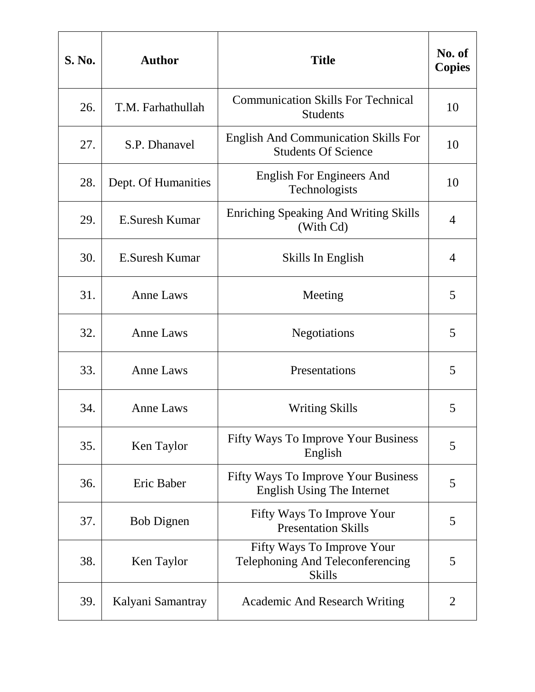| <b>S. No.</b> | <b>Author</b>       | <b>Title</b>                                                                    | No. of<br><b>Copies</b> |
|---------------|---------------------|---------------------------------------------------------------------------------|-------------------------|
| 26.           | T.M. Farhathullah   | <b>Communication Skills For Technical</b><br><b>Students</b>                    | 10                      |
| 27.           | S.P. Dhanavel       | <b>English And Communication Skills For</b><br><b>Students Of Science</b>       | 10                      |
| 28.           | Dept. Of Humanities | <b>English For Engineers And</b><br>Technologists                               | 10                      |
| 29.           | E.Suresh Kumar      | <b>Enriching Speaking And Writing Skills</b><br>(With Cd)                       | 4                       |
| 30.           | E.Suresh Kumar      | Skills In English                                                               | 4                       |
| 31.           | <b>Anne Laws</b>    | Meeting                                                                         | 5                       |
| 32.           | <b>Anne Laws</b>    | <b>Negotiations</b>                                                             | 5                       |
| 33.           | <b>Anne Laws</b>    | Presentations                                                                   | 5                       |
| 34.           | <b>Anne Laws</b>    | <b>Writing Skills</b>                                                           | 5                       |
| 35.           | Ken Taylor          | <b>Fifty Ways To Improve Your Business</b><br>English                           | 5                       |
| 36.           | Eric Baber          | <b>Fifty Ways To Improve Your Business</b><br><b>English Using The Internet</b> | 5                       |
| 37.           | <b>Bob Dignen</b>   | Fifty Ways To Improve Your<br><b>Presentation Skills</b>                        | 5                       |
| 38.           | Ken Taylor          | Fifty Ways To Improve Your<br>Telephoning And Teleconferencing<br><b>Skills</b> | 5                       |
| 39.           | Kalyani Samantray   | <b>Academic And Research Writing</b>                                            | 2                       |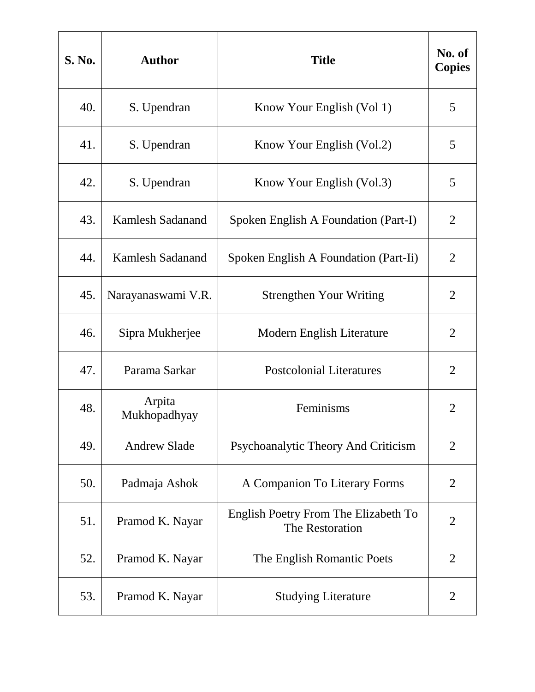| S. No. | <b>Author</b>           | <b>Title</b>                                            | No. of<br><b>Copies</b> |
|--------|-------------------------|---------------------------------------------------------|-------------------------|
| 40.    | S. Upendran             | Know Your English (Vol 1)                               | 5                       |
| 41.    | S. Upendran             | Know Your English (Vol.2)                               | 5                       |
| 42.    | S. Upendran             | Know Your English (Vol.3)                               | 5                       |
| 43.    | <b>Kamlesh Sadanand</b> | Spoken English A Foundation (Part-I)                    | $\overline{2}$          |
| 44.    | <b>Kamlesh Sadanand</b> | Spoken English A Foundation (Part-Ii)                   | $\overline{2}$          |
| 45.    | Narayanaswami V.R.      | <b>Strengthen Your Writing</b>                          | $\overline{2}$          |
| 46.    | Sipra Mukherjee         | Modern English Literature                               | $\overline{2}$          |
| 47.    | Parama Sarkar           | <b>Postcolonial Literatures</b>                         | $\overline{2}$          |
| 48.    | Arpita<br>Mukhopadhyay  | Feminisms                                               | $\overline{2}$          |
| 49.    | <b>Andrew Slade</b>     | Psychoanalytic Theory And Criticism                     | $\overline{2}$          |
| 50.    | Padmaja Ashok           | A Companion To Literary Forms                           | $\overline{2}$          |
| 51.    | Pramod K. Nayar         | English Poetry From The Elizabeth To<br>The Restoration | $\overline{2}$          |
| 52.    | Pramod K. Nayar         | The English Romantic Poets                              | $\overline{2}$          |
| 53.    | Pramod K. Nayar         | <b>Studying Literature</b>                              | $\overline{2}$          |